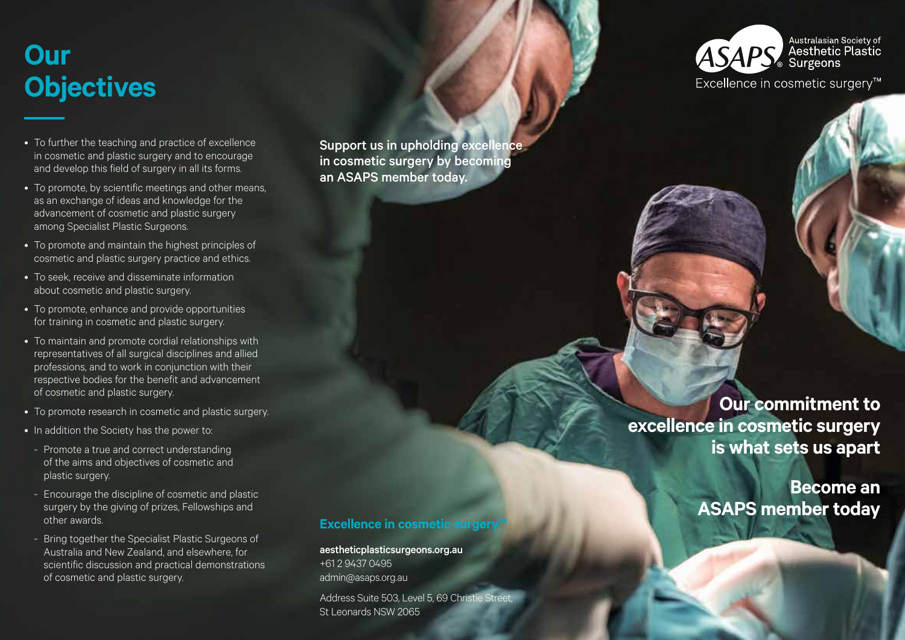# **Our Objectives**

- To further the teaching and practice of excellence in cosmetic and plastic surgery and to encourage and develop this field of surgery in all its forms.
- To promote, by scientific meetings and other means, as an exchange of ideas and knowledge for the advancement of cosmetic and plastic surgery among Specialist Plastic Surgeons.
- To promote and maintain the highest principles of cosmetic and plastic surgery practice and ethics.
- To seek, receive and disseminate information about cosmetic and plastic surgery.
- To promote, enhance and provide opportunities for training in cosmetic and plastic surgery.
- To maintain and promote cordial relationships with representatives of all surgical disciplines and allied professions, and to work in conjunction with their respective bodies for the benefit and advancement of cosmetic and plastic surgery.
- To promote research in cosmetic and plastic surgery.
- In addition the Society has the power to:
- Promote a true and correct understanding of the aims and objectives of cosmetic and plastic surgery.
- Encourage the discipline of cosmetic and plastic surgery by the giving of prizes, Fellowships and other awards.
- Bring together the Specialist Plastic Surgeons of Australia and New Zealand, and elsewhere, for scientific discussion and practical demonstrations of cosmetic and plastic surgery.

Support us in upholding excellence in cosmetic surgery by becoming an ASAPS member today.

### Australasian Society of **ASAPS** Aesthetic Plastic

Excellence in cosmetic surgery<sup>™</sup>

**Our commitment to excellence in cosmetic surgery is what sets us apart**

> **Become an ASAPS member today**

### **Excellence in cosmetic surgery**

aestheticplasticsurgeons.org.au +61 2 9437 0495 admin@asaps.org.au Address Suite 503, Level 5, 69 Christie Street, St Leonards NSW 2065